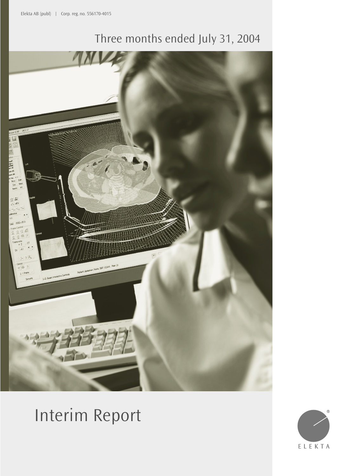# Three months ended July 31, 2004



# Interim Report

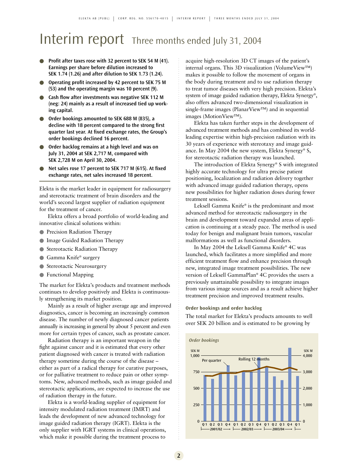## Interim report Three months ended July 31, 2004

- **Profit after taxes rose with 32 percent to SEK 54 M (41). Earnings per share before dilution increased to SEK 1.74 (1.26) and after dilution to SEK 1.73 (1.24).**
- **Operating profit increased by 42 percent to SEK 75 M (53) and the operating margin was 10 percent (9).**
- **Cash flow after investments was negative SEK 112 M (neg: 24) mainly as a result of increased tied up working capital.**
- Order bookings amounted to SEK 688 M (835), a **decline with 18 percent compared to the strong first quarter last year. At fixed exchange rates, the Group's order bookings declined 16 percent.**
- Order backlog remains at a high level and was on **July 31, 2004 at SEK 2,717 M, compared with SEK 2,728 M on April 30, 2004.**
- Net sales rose 17 percent to SEK 717 M (615). At fixed **exchange rates, net sales increased 18 percent.**

Elekta is the market leader in equipment for radiosurgery and stereotactic treatment of brain disorders and the world's second largest supplier of radiation equipment for the treatment of cancer.

Elekta offers a broad portfolio of world-leading and innovative clinical solutions within:

- Precision Radiation Therapy
- Image Guided Radiation Therapy
- Stereotactic Radiation Therapy
- Gamma Knife® surgery
- Stereotactic Neurosurgery
- Functional Mapping

The market for Elekta's products and treatment methods continues to develop positively and Elekta is continuously strengthening its market position.

Mainly as a result of higher average age and improved diagnostics, cancer is becoming an increasingly common disease. The number of newly diagnosed cancer patients annually is increasing in general by about 5 percent and even more for certain types of cancer, such as prostate cancer.

Radiation therapy is an important weapon in the fight against cancer and it is estimated that every other patient diagnosed with cancer is treated with radiation therapy sometime during the course of the disease – either as part of a radical therapy for curative purposes, or for palliative treatment to reduce pain or other symptoms. New, advanced methods, such as image guided and stereotactic applications, are expected to increase the use of radiation therapy in the future.

Elekta is a world-leading supplier of equipment for intensity modulated radiation treatment (IMRT) and leads the development of new advanced technology for image guided radiation therapy (IGRT). Elekta is the only supplier with IGRT systems in clinical operations, which make it possible during the treatment process to

acquire high-resolution 3D CT images of the patient's internal organs. This 3D visualization (VolumeView™) makes it possible to follow the movement of organs in the body during treatment and to use radiation therapy to treat tumor diseases with very high precision. Elekta's system of image guided radiation therapy, Elekta Synergy®, also offers advanced two-dimensional visualization in single-frame images (PlanarView™) and in sequential images (MotionView™).

Elekta has taken further steps in the development of advanced treatment methods and has combined its worldleading expertise within high-precision radiation with its 30 years of experience with stereotaxy and image guidance. In May 2004 the new system, Elekta Synergy® S, for stereotactic radiation therapy was launched.

The introduction of Elekta Synergy® S with integrated highly accurate technology for ultra precise patient positioning, localization and radiation delivery together with advanced image guided radiation therapy, opens new possibilities for higher radiation doses during fewer treatment sessions.

Leksell Gamma Knife® is the predominant and most advanced method for stereotactic radiosurgery in the brain and development toward expanded areas of application is continuing at a steady pace. The method is used today for benign and malignant brain tumors, vascular malformations as well as functional disorders.

In May 2004 the Leksell Gamma Knife® 4C was launched, which facilitates a more simplified and more efficient treatment flow and enhance precision through new, integrated image treatment possibilities. The new version of Leksell GammaPlan® 4C provides the users a previously unattainable possibility to integrate images from various image sources and as a result achieve higher treatment precision and improved treatment results.

### **Order bookings and order backlog**

The total market for Elekta's products amounts to well over SEK 20 billion and is estimated to be growing by

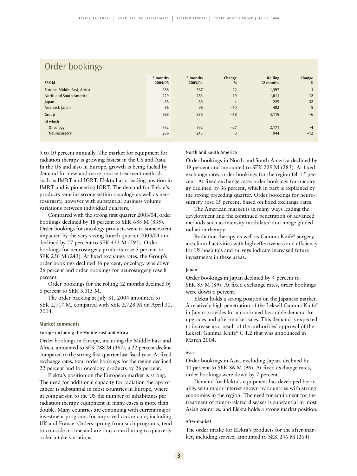### Order bookings

| <b>SEK M</b>                | 3 months<br>2004/05 | 3 months<br>2003/04 | Change<br>% | <b>Rolling</b><br>12 months | Change<br>% |
|-----------------------------|---------------------|---------------------|-------------|-----------------------------|-------------|
| Europe, Middle East, Africa | 288                 | 367                 | $-22$       | 1,397                       |             |
| North and South America     | 229                 | 283                 | $-19$       | 1,011                       | $-12$       |
| Japan                       | 85                  | 89                  | $-4$        | 225                         | $-32$       |
| Asia excl. Japan            | 86                  | 96                  | $-10$       | 482                         | 5           |
| Group                       | 688                 | 835                 | $-18$       | 3,115                       | $-6$        |
| of which                    |                     |                     |             |                             |             |
| Oncology                    | 432                 | 592                 | $-27$       | 2,171                       | $-4$        |
| Neurosurgery                | 256                 | 243                 | 5           | 944                         | $-12$       |

5 to 10 percent annually. The market for equipment for radiation therapy is growing fastest in the US and Asia. In the US and also in Europe, growth is being fueled by demand for new and more precise treatment methods such as IMRT and IGRT. Elekta has a leading position in IMRT and is pioneering IGRT. The demand for Elekta's products remains strong within oncology as well as neurosurgery, however with substantial business volume variations between individual quarters.

Compared with the strong first quarter 2003/04, order bookings declined by 18 percent to SEK 688 M (835). Order bookings for oncology products were to some extent impacted by the very strong fourth quarter 2003/04 and declined by 27 percent to SEK 432 M (592). Order bookings for neurosurgery products rose 5 percent to SEK 256 M (243). At fixed exchange rates, the Group's order bookings declined 16 percent, oncology was down 26 percent and order bookings for neurosurgery rose 8 percent.

Order bookings for the rolling 12 months declined by 6 percent to SEK 3,115 M.

The order backlog at July 31, 2004 amounted to SEK 2,717 M, compared with SEK 2,728 M on April 30, 2004.

### **Market comments**

Europe including the Middle East and Africa

Order bookings in Europe, including the Middle East and Africa, amounted to SEK 288 M (367), a 22 percent decline compared to the strong first quarter last fiscal year. At fixed exchange rates, total order bookings for the region declined 22 percent and for oncology products by 26 percent.

Elekta's position on the European market is strong. The need for additional capacity for radiation therapy of cancer is substantial in most countries in Europe, where in comparison to the US the number of inhabitants per radiation therapy equipment in many cases is more than double. Many countries are continuing with current major investment programs for improved cancer care, including UK and France. Orders sprung from such programs, tend to coincide in time and are thus contributing to quarterly order intake variations.

#### North and South America

Order bookings in North and South America declined by 19 percent and amounted to SEK 229 M (283). At fixed exchange rates, order bookings for the region fell 15 percent. At fixed exchange rates order bookings for oncology declined by 36 percent, which in part is explained by the strong preceding quarter. Order bookings for neurosurgery rose 15 percent, based on fixed exchange rates.

The American market is in many ways leading the development and the continued penetration of advanced methods such as intensity modulated and image guided radiation therapy.

Radiation therapy as well as Gamma Knife® surgery are clinical activities with high effectiveness and efficiency for US hospitals and surveys indicate increased future investments in these areas.

### Japan

Order bookings in Japan declined by 4 percent to SEK 85 M (89). At fixed exchange rates, order bookings were down 6 percent.

Elekta holds a strong position on the Japanese market. A relatively high penetration of the Leksell Gamma Knife® in Japan provides for a continued favorable demand for upgrades and after-market sales. This demand is expected to increase as a result of the authorities' approval of the Leksell Gamma Knife® C 1.2 that was announced in March 2004.

### Asia

Order bookings in Asia, excluding Japan, declined by 10 percent to SEK 86 M (96). At fixed exchange rates, order bookings were down by 7 percent.

Demand for Elekta's equipment has developed favorably, with major interest shown by countries with strong economies in the region. The need for equipment for the treatment of tumor-related diseases is substantial in most Asian countries, and Elekta holds a strong market position.

#### After-market

The order intake for Elekta's products for the after-market, including service, amounted to SEK 246 M (264).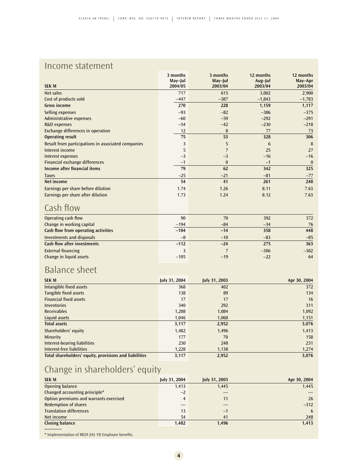### Income statement

|                                                    | 3 months<br>May-Jul | 3 months<br>May-Jul | 12 months<br>Aug-Jul | 12 months<br>May-Apr |
|----------------------------------------------------|---------------------|---------------------|----------------------|----------------------|
| <b>SEK M</b>                                       | 2004/05             | 2003/04             | 2003/04              | 2003/04              |
| Net sales                                          | 717                 | 615                 | 3,002                | 2,900                |
| Cost of products sold                              | $-447$              | $-387$              | $-1,843$             | $-1,783$             |
| <b>Gross income</b>                                | 270                 | 228                 | 1,159                | 1,117                |
| Selling expenses                                   | $-93$               | $-82$               | $-386$               | $-375$               |
| <b>Administrative expenses</b>                     | $-60$               | $-59$               | $-292$               | $-291$               |
| R&D expenses                                       | $-54$               | $-42$               | $-230$               | $-218$               |
| Exchange differences in operation                  | 12                  | 8                   | 77                   | 73                   |
| <b>Operating result</b>                            | 75                  | 53                  | 328                  | 306                  |
| Result from participations in associated companies | 3                   | 5                   | $6\phantom{1}6$      | 8                    |
| Interest income                                    | 5                   | $\overline{7}$      | 25                   | 27                   |
| <b>Interest expenses</b>                           | $-3$                | $-3$                | $-16$                | $-16$                |
| Financial exchange differences                     | $-1$                | $\bf{0}$            | $-1$                 | $\bf{0}$             |
| Income after financial items                       | 79                  | 62                  | 342                  | 325                  |
| <b>Taxes</b>                                       | $-25$               | $-21$               | $-81$                | $-77$                |
| Net income                                         | 54                  | 41                  | 261                  | 248                  |
| Earnings per share before dilution                 | 1.74                | 1.26                | 8.11                 | 7.63                 |
| Earnings per share after dilution                  | 1.73                | 1.24                | 8.12                 | 7.63                 |
| Cash flow                                          |                     |                     |                      |                      |
| Operating cash flow                                | 90                  | 70                  | 392                  | 372                  |
| Change in working capital                          | $-194$              | $-84$               | $-34$                | 76                   |
| Cash flow from operating activities                | $-104$              | $-14$               | 358                  | 448                  |
| <b>Investments and disposals</b>                   | $-8$                | $-10$               | $-83$                | $-85$                |
| <b>Cash flow after investments</b>                 | $-112$              | $-24$               | 275                  | 363                  |
| <b>External financing</b>                          | 3                   | $\overline{7}$      | $-306$               | $-302$               |
| Change in liquid assets                            | $-105$              | $-19$               | $-22$                | 64                   |
| <b>Balance sheet</b>                               |                     |                     |                      |                      |
| <b>SEK M</b>                                       | July 31, 2004       | July 31, 2003       |                      | Apr 30, 2004         |
| Intangible fixed assets                            | 368                 | 402                 |                      | 372                  |
| Tangible fixed assets                              | 138                 | 89                  |                      | 134                  |
| <b>Financial fixed assets</b>                      | 17                  | 17                  |                      | 16                   |
| <b>Inventories</b>                                 | 340                 | 292                 |                      | 311                  |
| <b>Receivables</b>                                 | 1,208               | 1,084               |                      | 1,092                |
| Liquid assets                                      | 1,046               | 1,068               |                      | 1,151                |
| <b>Total assets</b>                                | 3,117               | 2,952               |                      | 3,076                |
| Shareholders' equity                               | 1,482               | 1,496               |                      | 1,413                |
| Minority                                           | 177                 | 70                  |                      | 158                  |
| <b>Interest-bearing liabilities</b>                | 230                 | 248                 |                      | 231                  |
| <b>Interest-free liabilities</b>                   | 1,228               | 1.138               |                      | 1,274                |

### Change in shareholders' equity

| <b>SEK M</b>                           | July 31, 2004 | July 31, 2003 | Apr 30, 2004 |
|----------------------------------------|---------------|---------------|--------------|
| Opening balance                        | 1,413         | 1,445         | 1,445        |
| Changed accounting principle*          | $-2$          |               |              |
| Option premiums and warrants exercised | 4             | 11            | 26           |
| <b>Redemption of shares</b>            |               |               | $-312$       |
| <b>Translation differences</b>         | 13            | $-1$          | 6            |
| Net income                             | 54            | 41            | 248          |
| Closing balance                        | 1,482         | 1,496         | 1,413        |

**Total shareholders' equity, provisions and liabilities 3,117 2,952 3,076**

\* Implementation of RR29 (IAS 19) Employee benefits.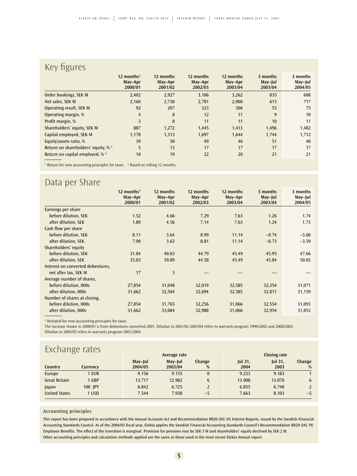### Key figures

|                                               | 12 months <sup>1)</sup><br>May-Apr<br>2000/01 | 12 months<br>May-Apr<br>2001/02 | 12 months<br>May-Apr<br>2002/03 | 12 months<br>May-Apr<br>2003/04 | 3 months<br>May-Jul<br>2003/04 | 3 months<br>May-Jul<br>2004/05 |
|-----------------------------------------------|-----------------------------------------------|---------------------------------|---------------------------------|---------------------------------|--------------------------------|--------------------------------|
| Order bookings, SEK M                         | 2,402                                         | 2,927                           | 3,186                           | 3,262                           | 835                            | 688                            |
| Net sales, SEK M                              | 2,160                                         | 2,738                           | 2,781                           | 2,900                           | 615                            | 717                            |
| Operating result, SEK M                       | 92                                            | 207                             | 323                             | 306                             | 53                             | 75                             |
| Operating margin, %                           | $\overline{4}$                                | 8                               | 12                              | 11                              | 9                              | 10                             |
| Profit margin, %                              | 3                                             | 8                               | 11                              | 11                              | 10                             | 11                             |
| Shareholders' equity, SEK M                   | 887                                           | 1,272                           | 1,445                           | 1,413                           | 1,496                          | 1,482                          |
| Capital employed, SEK M                       | 1,178                                         | 1,313                           | 1,697                           | 1,644                           | 1,744                          | 1,712                          |
| Equity/assets ratio, %                        | 39                                            | 50                              | 49                              | 46                              | 51                             | 48                             |
| Return on shareholders' equity, % $^{2}$      | 5                                             | 13                              | 17                              | 17                              | 17                             | 17                             |
| Return on capital employed, $%$ <sup>2)</sup> | 10                                            | 19                              | 22                              | 20                              | 21                             | 21                             |

<sup>1)</sup> Return for new accounting principles for taxes. <sup>2</sup><sup>)</sup> Based on rolling 12 months.

### Data per Share

|                                   | $12$ months <sup>1)</sup><br>May-Apr<br>2000/01 | 12 months<br>May-Apr<br>2001/02 | 12 months<br>May-Apr<br>2002/03 | 12 months<br>May-Apr<br>2003/04 | 3 months<br>$May$ -Jul<br>2003/04 | 3 months<br>May-Jul<br>2004/05 |
|-----------------------------------|-------------------------------------------------|---------------------------------|---------------------------------|---------------------------------|-----------------------------------|--------------------------------|
| Earnings per share                |                                                 |                                 |                                 |                                 |                                   |                                |
| before dilution, SEK              | 1.52                                            | 4.66                            | 7.29                            | 7.63                            | 1.26                              | 1.74                           |
| after dilution, SEK               | 1.89                                            | 4.56                            | 7.14                            | 7.63                            | 1.24                              | 1.73                           |
| Cash flow per share               |                                                 |                                 |                                 |                                 |                                   |                                |
| before dilution, SEK              | 8.11                                            | 3.64                            | 8.99                            | 11.14                           | $-0.74$                           | $-3.60$                        |
| after dilution, SEK               | 7.90                                            | 3.63                            | 8.81                            | 11.14                           | $-0.73$                           | $-3.59$                        |
| Shareholders' equity              |                                                 |                                 |                                 |                                 |                                   |                                |
| before dilution, SEK              | 31.84                                           | 40.03                           | 44.79                           | 45.49                           | 45.95                             | 47.66                          |
| after dilution, SEK               | 35.03                                           | 39.89                           | 44.58                           | 45.49                           | 45.84                             | 50.03                          |
| Interest on converted debentures, |                                                 |                                 |                                 |                                 |                                   |                                |
| net after tax, SEK M              | 17                                              | 3                               |                                 |                                 |                                   |                                |
| Average number of shares,         |                                                 |                                 |                                 |                                 |                                   |                                |
| before dilution, 000s             | 27,854                                          | 31,048                          | 32,019                          | 32,585                          | 32,354                            | 31,071                         |
| after dilution, 000s              | 31,662                                          | 32,504                          | 32,694                          | 32,585                          | 32,811                            | 31,159                         |
| Number of shares at closing,      |                                                 |                                 |                                 |                                 |                                   |                                |
| before dilution, 000s             | 27,854                                          | 31,765                          | 32,256                          | 31,066                          | 32,554                            | 31,093                         |
| after dilution, 000s              | 31,662                                          | 33,084                          | 32,988                          | 31,066                          | 32,954                            | 31,853                         |

<sup>1)</sup> Restated for new accounting principles for taxes.

The increase shown in 2000/01 is from debentures converted 2001. Dilution in 2001/02-2003/04 refers to warrants program 1999/2002 and 2000/2003. Dilution in 2004/05 refers to warrants program 2001/2004.

### **Exchange rates**

|                      |            | Average rate       |                    |              | <b>Closing rate</b>    |                 |             |  |
|----------------------|------------|--------------------|--------------------|--------------|------------------------|-----------------|-------------|--|
| Country              | Currencv   | May-Jul<br>2004/05 | May-Jul<br>2003/04 | Change<br>%  | <b>Jul 31,</b><br>2004 | Jul 31,<br>2003 | Change<br>% |  |
| Europe               | 1 EUR      | 9.156              | 9.155              | $\mathbf{0}$ | 9.233                  | 9.183           |             |  |
| <b>Great Britain</b> | 1 GBP      | 13.717             | 12.982             | 6            | 13.908                 | 13.070          | 6           |  |
| Japan                | 100 IPY    | 6.842              | 6.725              |              | 6.855                  | 6.740           |             |  |
| <b>United States</b> | <b>USD</b> | 7.544              | 7.938              | $-5$         | 7.663                  | 8.103           | $-5$        |  |

### **Accounting principles**

This report has been prepared in accordance with the Annual Accounts Act and Recommendation RR20 (IAS 34) Interim Reports, issued by the Swedish Financial Accounting Standards Council. As of the 2004/05 fiscal year, Elekta applies the Swedish Financial Accounting Standards Council's Recommendation RR29 (IAS 19) Employee Benefits. The effect of the transition is marginal. Provision for pensions rose by SEK 3 M and shareholders' equity declined by SEK 2 M. Other accounting principles and calculation methods applied are the same as those used in the most recent Elekta Annual report.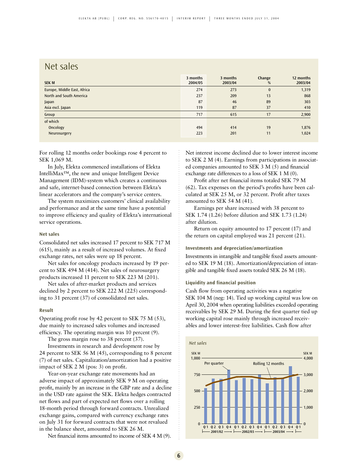### Net sales

| <b>SEK M</b>                | 3 months<br>2004/05 | 3 months<br>2003/04 | Change<br>% | 12 months<br>2003/04 |
|-----------------------------|---------------------|---------------------|-------------|----------------------|
| Europe, Middle East, Africa | 274                 | 273                 | $\bf{0}$    | 1,319                |
| North and South America     | 237                 | 209                 | 13          | 868                  |
| Japan                       | 87                  | 46                  | 89          | 303                  |
| Asia excl. Japan            | 119                 | 87                  | 37          | 410                  |
| Group                       | 717                 | 615                 | 17          | 2,900                |
| of which                    |                     |                     |             |                      |
| Oncology                    | 494                 | 414                 | 19          | 1,876                |
| Neurosurgery                | 223                 | 201                 | 11          | 1,024                |
|                             |                     |                     |             |                      |

For rolling 12 months order bookings rose 4 percent to SEK 1,069 M.

In July, Elekta commenced installations of Elekta IntelliMax™, the new and unique Intelligent Device Management (IDM)-system which creates a continuous and safe, internet-based connection between Elekta's linear accelerators and the company's service centers.

The system maximizes customers' clinical availability and performance and at the same time have a potential to improve efficiency and quality of Elekta's international service operations.

### **Net sales**

Consolidated net sales increased 17 percent to SEK 717 M (615), mainly as a result of increased volumes. At fixed exchange rates, net sales were up 18 percent.

Net sales for oncology products increased by 19 percent to SEK 494 M (414). Net sales of neurosurgery products increased 11 percent to SEK 223 M (201).

Net sales of after-market products and services declined by 2 percent to SEK 222 M (225) corresponding to 31 percent (37) of consolidated net sales.

### **Result**

Operating profit rose by 42 percent to SEK 75 M (53), due mainly to increased sales volumes and increased efficiency. The operating margin was 10 percent (9).

The gross margin rose to 38 percent (37).

Investments in research and development rose by 24 percent to SEK 56 M (45), corresponding to 8 percent (7) of net sales. Capitalization/amortization had a positive impact of SEK 2 M (pos: 3) on profit.

Year-on-year exchange rate movements had an adverse impact of approximately SEK 9 M on operating profit, mainly by an increase in the GBP rate and a decline in the USD rate against the SEK. Elekta hedges contracted net flows and part of expected net flows over a rolling 18-month period through forward contracts. Unrealized exchange gains, compared with currency exchange rates on July 31 for forward contracts that were not revalued in the balance sheet, amounted to SEK 26 M.

Net financial items amounted to income of SEK 4 M (9).

Net interest income declined due to lower interest income to SEK 2 M (4). Earnings from participations in associated companies amounted to SEK 3 M (5) and financial exchange rate differences to a loss of SEK 1 M (0).

Profit after net financial items totaled SEK 79 M (62). Tax expenses on the period's profits have been calculated at SEK 25 M, or 32 percent. Profit after taxes amounted to SEK 54 M (41).

Earnings per share increased with 38 percent to SEK 1.74 (1.26) before dilution and SEK 1.73 (1.24) after dilution.

Return on equity amounted to 17 percent (17) and the return on capital employed was 21 percent (21).

### **Investments and depreciation/amortization**

Investments in intangible and tangible fixed assets amounted to SEK 19 M (18). Amortization/depreciation of intangible and tangible fixed assets totaled SEK 26 M (18).

### **Liquidity and financial position**

Cash flow from operating activities was a negative SEK 104 M (neg: 14). Tied up working capital was low on April 30, 2004 when operating liabilities exceeded operating receivables by SEK 29 M. During the first quarter tied up working capital rose mainly through increased receivables and lower interest-free liabilities. Cash flow after